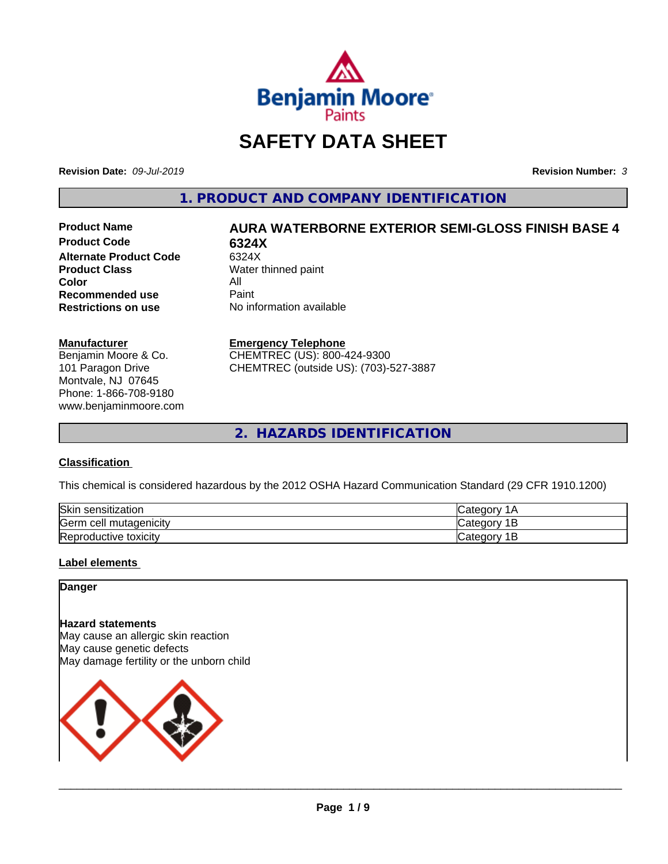

# **SAFETY DATA SHEET**

**Revision Date:** *09-Jul-2019* **Revision Number:** *3*

**1. PRODUCT AND COMPANY IDENTIFICATION**

**Product Code 6324X Alternate Product Code** 6324X<br>**Product Class** Water **Color** All<br> **Recommended use** Paint **Recommended use**<br>Restrictions on use

# **Product Name AURA WATERBORNE EXTERIOR SEMI-GLOSS FINISH BASE 4**

**Water thinned paint No information available** 

#### **Manufacturer**

Benjamin Moore & Co. 101 Paragon Drive Montvale, NJ 07645 Phone: 1-866-708-9180 www.benjaminmoore.com

#### **Emergency Telephone**

CHEMTREC (US): 800-424-9300 CHEMTREC (outside US): (703)-527-3887

**2. HAZARDS IDENTIFICATION**

# **Classification**

This chemical is considered hazardous by the 2012 OSHA Hazard Communication Standard (29 CFR 1910.1200)

| Skin<br>sensitization            |        |
|----------------------------------|--------|
| Germ<br>. mutagenicitv<br>າ cell | -      |
| Reproductive<br>toxicity         | <br>-- |

# **Label elements**

#### **Danger**

#### **Hazard statements**

May cause an allergic skin reaction May cause genetic defects May damage fertility or the unborn child

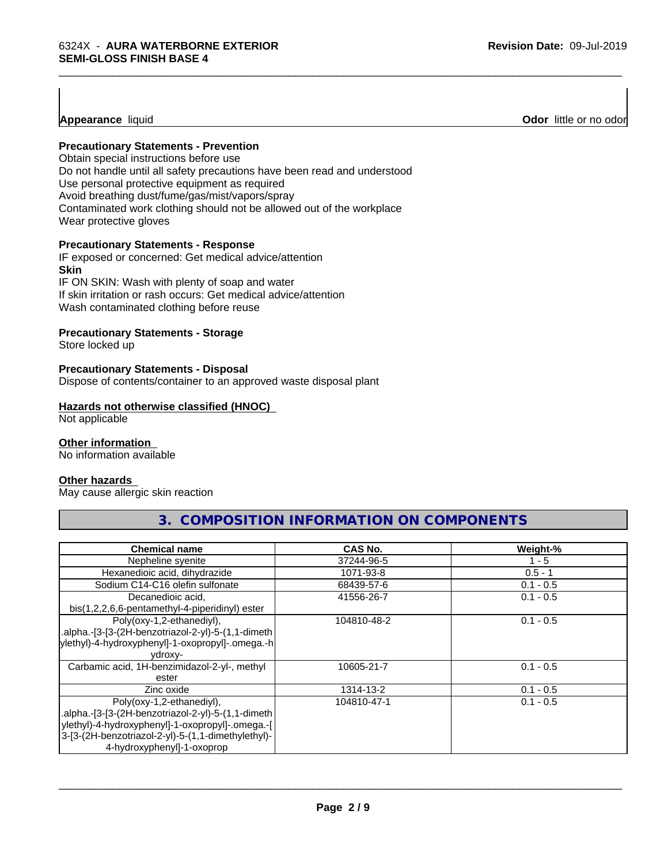#### **Precautionary Statements - Prevention**

Obtain special instructions before use Do not handle until all safety precautions have been read and understood Use personal protective equipment as required Avoid breathing dust/fume/gas/mist/vapors/spray Contaminated work clothing should not be allowed out of the workplace Wear protective gloves

#### **Precautionary Statements - Response**

IF exposed or concerned: Get medical advice/attention **Skin** IF ON SKIN: Wash with plenty of soap and water

If skin irritation or rash occurs: Get medical advice/attention Wash contaminated clothing before reuse

#### **Precautionary Statements - Storage**

Store locked up

#### **Precautionary Statements - Disposal**

Dispose of contents/container to an approved waste disposal plant

#### **Hazards not otherwise classified (HNOC)**

Not applicable

#### **Other information**

No information available

#### **Other hazards**

May cause allergic skin reaction

# **3. COMPOSITION INFORMATION ON COMPONENTS**

\_\_\_\_\_\_\_\_\_\_\_\_\_\_\_\_\_\_\_\_\_\_\_\_\_\_\_\_\_\_\_\_\_\_\_\_\_\_\_\_\_\_\_\_\_\_\_\_\_\_\_\_\_\_\_\_\_\_\_\_\_\_\_\_\_\_\_\_\_\_\_\_\_\_\_\_\_\_\_\_\_\_\_\_\_\_\_\_\_\_\_\_\_

| <b>Chemical name</b>                               | <b>CAS No.</b> | Weight-%    |
|----------------------------------------------------|----------------|-------------|
| Nepheline syenite                                  | 37244-96-5     | 1 - 5       |
| Hexanedioic acid, dihydrazide                      | 1071-93-8      | $0.5 - 1$   |
| Sodium C14-C16 olefin sulfonate                    | 68439-57-6     | $0.1 - 0.5$ |
| Decanedioic acid,                                  | 41556-26-7     | $0.1 - 0.5$ |
| bis(1,2,2,6,6-pentamethyl-4-piperidinyl) ester     |                |             |
| Poly(oxy-1,2-ethanediyl),                          | 104810-48-2    | $0.1 - 0.5$ |
| .alpha.-[3-[3-(2H-benzotriazol-2-yl)-5-(1,1-dimeth |                |             |
| ylethyl)-4-hydroxyphenyl]-1-oxopropyl]-.omega.-h   |                |             |
| ydroxy-                                            |                |             |
| Carbamic acid, 1H-benzimidazol-2-yl-, methyl       | 10605-21-7     | $0.1 - 0.5$ |
| ester                                              |                |             |
| Zinc oxide                                         | 1314-13-2      | $0.1 - 0.5$ |
| Poly(oxy-1,2-ethanediyl),                          | 104810-47-1    | $0.1 - 0.5$ |
| .alpha.-[3-[3-(2H-benzotriazol-2-yl)-5-(1,1-dimeth |                |             |
| ylethyl)-4-hydroxyphenyl]-1-oxopropyl]-.omega.-[   |                |             |
| 3-[3-(2H-benzotriazol-2-yl)-5-(1,1-dimethylethyl)- |                |             |
| 4-hydroxyphenyl]-1-oxoprop                         |                |             |

 $\overline{\phantom{a}}$  ,  $\overline{\phantom{a}}$  ,  $\overline{\phantom{a}}$  ,  $\overline{\phantom{a}}$  ,  $\overline{\phantom{a}}$  ,  $\overline{\phantom{a}}$  ,  $\overline{\phantom{a}}$  ,  $\overline{\phantom{a}}$  ,  $\overline{\phantom{a}}$  ,  $\overline{\phantom{a}}$  ,  $\overline{\phantom{a}}$  ,  $\overline{\phantom{a}}$  ,  $\overline{\phantom{a}}$  ,  $\overline{\phantom{a}}$  ,  $\overline{\phantom{a}}$  ,  $\overline{\phantom{a}}$ 

**Appearance** liquid **Odor**  little or no odor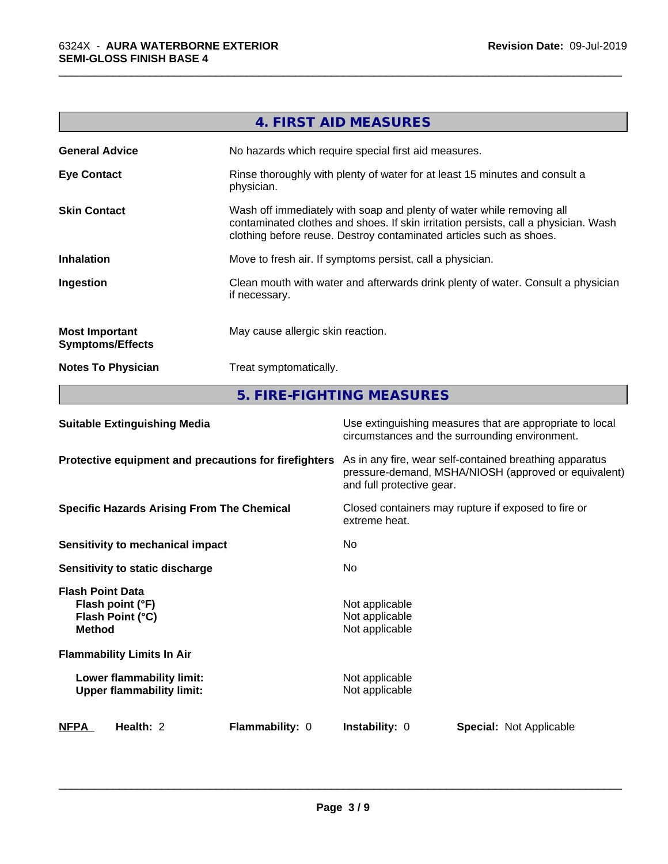|                                                  | 4. FIRST AID MEASURES                                                                                                                                                                                                               |
|--------------------------------------------------|-------------------------------------------------------------------------------------------------------------------------------------------------------------------------------------------------------------------------------------|
| <b>General Advice</b>                            | No hazards which require special first aid measures.                                                                                                                                                                                |
| <b>Eye Contact</b>                               | Rinse thoroughly with plenty of water for at least 15 minutes and consult a<br>physician.                                                                                                                                           |
| <b>Skin Contact</b>                              | Wash off immediately with soap and plenty of water while removing all<br>contaminated clothes and shoes. If skin irritation persists, call a physician. Wash<br>clothing before reuse. Destroy contaminated articles such as shoes. |
| <b>Inhalation</b>                                | Move to fresh air. If symptoms persist, call a physician.                                                                                                                                                                           |
| Ingestion                                        | Clean mouth with water and afterwards drink plenty of water. Consult a physician<br>if necessary.                                                                                                                                   |
| <b>Most Important</b><br><b>Symptoms/Effects</b> | May cause allergic skin reaction.                                                                                                                                                                                                   |
| <b>Notes To Physician</b>                        | Treat symptomatically.                                                                                                                                                                                                              |

\_\_\_\_\_\_\_\_\_\_\_\_\_\_\_\_\_\_\_\_\_\_\_\_\_\_\_\_\_\_\_\_\_\_\_\_\_\_\_\_\_\_\_\_\_\_\_\_\_\_\_\_\_\_\_\_\_\_\_\_\_\_\_\_\_\_\_\_\_\_\_\_\_\_\_\_\_\_\_\_\_\_\_\_\_\_\_\_\_\_\_\_\_

**5. FIRE-FIGHTING MEASURES**

| <b>Suitable Extinguishing Media</b>                                              | Use extinguishing measures that are appropriate to local<br>circumstances and the surrounding environment.                                   |  |  |
|----------------------------------------------------------------------------------|----------------------------------------------------------------------------------------------------------------------------------------------|--|--|
| Protective equipment and precautions for firefighters                            | As in any fire, wear self-contained breathing apparatus<br>pressure-demand, MSHA/NIOSH (approved or equivalent)<br>and full protective gear. |  |  |
| <b>Specific Hazards Arising From The Chemical</b>                                | Closed containers may rupture if exposed to fire or<br>extreme heat.                                                                         |  |  |
| Sensitivity to mechanical impact                                                 | No.                                                                                                                                          |  |  |
| Sensitivity to static discharge                                                  | No.                                                                                                                                          |  |  |
| <b>Flash Point Data</b><br>Flash point (°F)<br>Flash Point (°C)<br><b>Method</b> | Not applicable<br>Not applicable<br>Not applicable                                                                                           |  |  |
| <b>Flammability Limits In Air</b>                                                |                                                                                                                                              |  |  |
| Lower flammability limit:<br><b>Upper flammability limit:</b>                    | Not applicable<br>Not applicable                                                                                                             |  |  |
| <b>NFPA</b><br>Health: 2<br><b>Flammability: 0</b>                               | <b>Instability: 0</b><br><b>Special: Not Applicable</b>                                                                                      |  |  |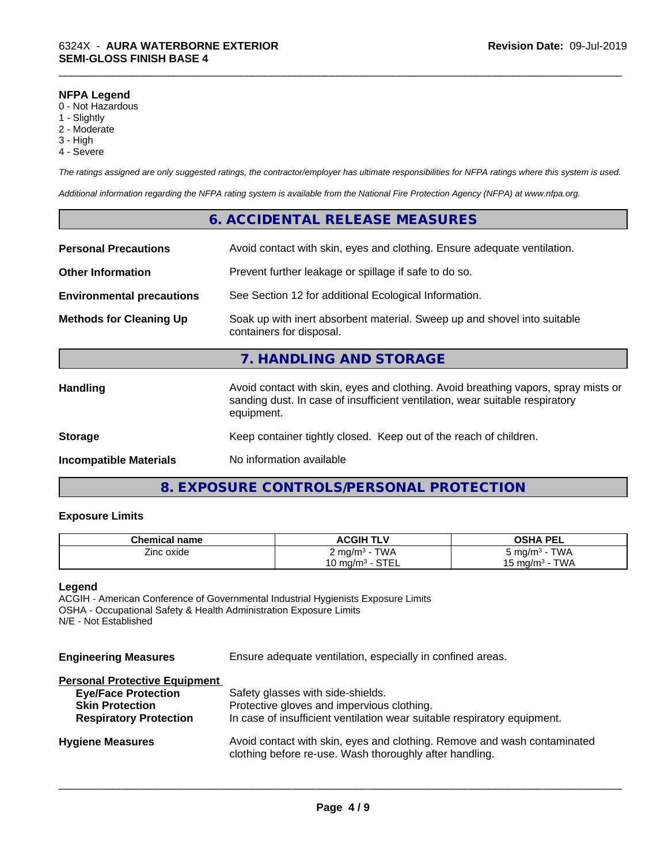#### **NFPA Legend**

- 0 Not Hazardous
- 1 Slightly
- 2 Moderate
- 3 High
- 4 Severe

*The ratings assigned are only suggested ratings, the contractor/employer has ultimate responsibilities for NFPA ratings where this system is used.*

\_\_\_\_\_\_\_\_\_\_\_\_\_\_\_\_\_\_\_\_\_\_\_\_\_\_\_\_\_\_\_\_\_\_\_\_\_\_\_\_\_\_\_\_\_\_\_\_\_\_\_\_\_\_\_\_\_\_\_\_\_\_\_\_\_\_\_\_\_\_\_\_\_\_\_\_\_\_\_\_\_\_\_\_\_\_\_\_\_\_\_\_\_

*Additional information regarding the NFPA rating system is available from the National Fire Protection Agency (NFPA) at www.nfpa.org.*

# **6. ACCIDENTAL RELEASE MEASURES**

| <b>Personal Precautions</b>      | Avoid contact with skin, eyes and clothing. Ensure adequate ventilation.                                                                                                         |  |
|----------------------------------|----------------------------------------------------------------------------------------------------------------------------------------------------------------------------------|--|
| <b>Other Information</b>         | Prevent further leakage or spillage if safe to do so.                                                                                                                            |  |
| <b>Environmental precautions</b> | See Section 12 for additional Ecological Information.                                                                                                                            |  |
| <b>Methods for Cleaning Up</b>   | Soak up with inert absorbent material. Sweep up and shovel into suitable<br>containers for disposal.                                                                             |  |
|                                  | 7. HANDLING AND STORAGE                                                                                                                                                          |  |
| <b>Handling</b>                  | Avoid contact with skin, eyes and clothing. Avoid breathing vapors, spray mists or<br>sanding dust. In case of insufficient ventilation, wear suitable respiratory<br>equipment. |  |
| <b>Storage</b>                   | Keep container tightly closed. Keep out of the reach of children.                                                                                                                |  |
| <b>Incompatible Materials</b>    | No information available                                                                                                                                                         |  |

# **8. EXPOSURE CONTROLS/PERSONAL PROTECTION**

# **Exposure Limits**

| <b>Chemical name</b> | <b>ACGIH TLV</b>                                     | <b>OSHA PEL</b>           |
|----------------------|------------------------------------------------------|---------------------------|
| --<br>Zinc oxide     | <b>TWA</b><br>$\angle$ mg/m <sup>3</sup> - $\degree$ | TWA<br>ა mg/mª - 1        |
|                      | STEL<br>$10 \text{ mg/m}^3 - 7$                      | <b>TWA</b><br>15 mg/m $3$ |

#### **Legend**

ACGIH - American Conference of Governmental Industrial Hygienists Exposure Limits OSHA - Occupational Safety & Health Administration Exposure Limits N/E - Not Established

| <b>Engineering Measures</b>          | Ensure adequate ventilation, especially in confined areas.                                                                          |  |
|--------------------------------------|-------------------------------------------------------------------------------------------------------------------------------------|--|
| <b>Personal Protective Equipment</b> |                                                                                                                                     |  |
| <b>Eye/Face Protection</b>           | Safety glasses with side-shields.                                                                                                   |  |
| <b>Skin Protection</b>               | Protective gloves and impervious clothing.                                                                                          |  |
| <b>Respiratory Protection</b>        | In case of insufficient ventilation wear suitable respiratory equipment.                                                            |  |
| <b>Hygiene Measures</b>              | Avoid contact with skin, eyes and clothing. Remove and wash contaminated<br>clothing before re-use. Wash thoroughly after handling. |  |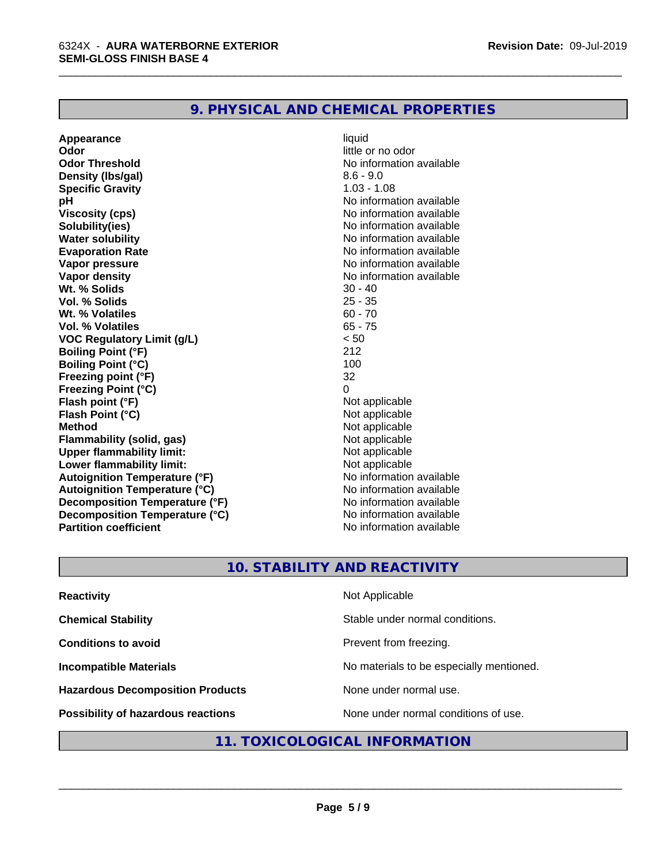# **9. PHYSICAL AND CHEMICAL PROPERTIES**

**Appearance** liquid **and a limitation** of the liquid development of the liquid liquid and liquid and liquid and little control. In the little control of the little control of the little control of the little control of the **Odor Threshold No information available No information available Density (lbs/gal)** 8.6 - 9.0 **Specific Gravity** 1.03 - 1.08 **pH** No information available **Viscosity (cps)** No information available **Solubility(ies)** No information available **Water solubility Mater Solubility**<br> **Evaporation Rate** Mate No information available **Vapor pressure** No information available **Vapor density**<br> **We Solids**<br>
We Solids
20 - 40 **Wt. % Solids** 30 - 40<br> **Vol. % Solids** 25 - 35 **Vol. % Solids Wt. % Volatiles** 60 - 70 **Vol. % Volatiles VOC Regulatory Limit (g/L)** < 50 **Boiling Point (°F)** 212 **Boiling Point (°C) Freezing point (°F)** 32 **Freezing Point (°C)**<br> **Flash point (°F)**<br> **Flash point (°F)**<br> **Point (°F)**<br> **Point (°F)**<br> **Point (°F)**<br> **Point (°F)**<br> **Point (°F) Flash point (°F)**<br> **Flash Point (°C)**<br> **Flash Point (°C)**<br> **C Flash Point (°C) Method**<br> **Flammability (solid. gas)**<br> **Commability (solid. gas)**<br> **Not** applicable **Flammability** (solid, gas) **Upper flammability limit:** Not applicable **Lower flammability limit:**<br> **Autoignition Temperature (°F)** Not applicable havailable **Autoignition Temperature (°F) Autoignition Temperature (°C)** No information available **Decomposition Temperature (°F)** No information available<br> **Decomposition Temperature (°C)** No information available **Decomposition Temperature (°C) Partition coefficient** No information available

little or no odor **Evaporation Rate** No information available

\_\_\_\_\_\_\_\_\_\_\_\_\_\_\_\_\_\_\_\_\_\_\_\_\_\_\_\_\_\_\_\_\_\_\_\_\_\_\_\_\_\_\_\_\_\_\_\_\_\_\_\_\_\_\_\_\_\_\_\_\_\_\_\_\_\_\_\_\_\_\_\_\_\_\_\_\_\_\_\_\_\_\_\_\_\_\_\_\_\_\_\_\_

# **10. STABILITY AND REACTIVITY**

| <b>Reactivity</b>                       | Not Applicable                           |
|-----------------------------------------|------------------------------------------|
| <b>Chemical Stability</b>               | Stable under normal conditions.          |
| <b>Conditions to avoid</b>              | Prevent from freezing.                   |
| <b>Incompatible Materials</b>           | No materials to be especially mentioned. |
| <b>Hazardous Decomposition Products</b> | None under normal use.                   |
| Possibility of hazardous reactions      | None under normal conditions of use.     |

## **11. TOXICOLOGICAL INFORMATION**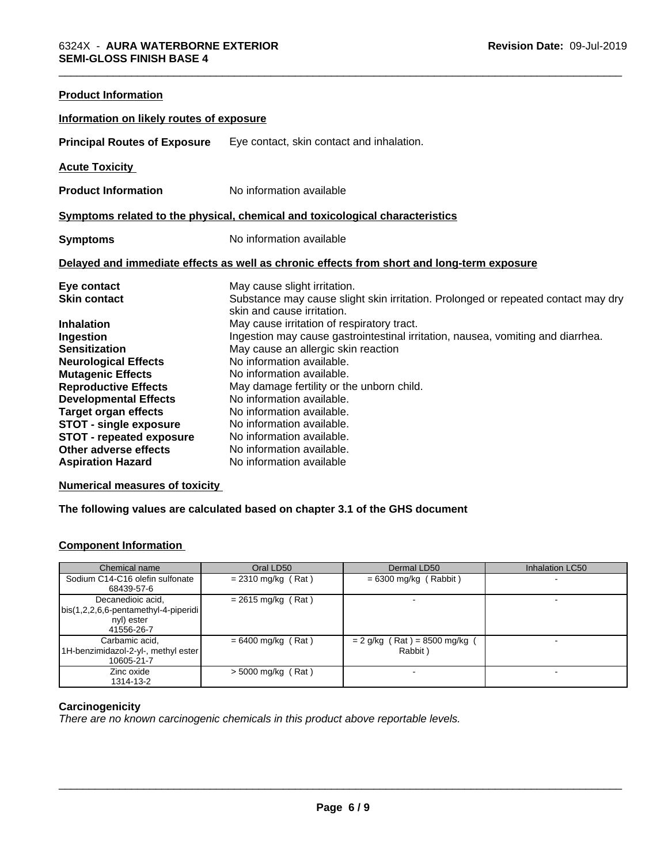| <b>Product Information</b>               |                                                                                                                 |  |
|------------------------------------------|-----------------------------------------------------------------------------------------------------------------|--|
| Information on likely routes of exposure |                                                                                                                 |  |
| <b>Principal Routes of Exposure</b>      | Eye contact, skin contact and inhalation.                                                                       |  |
| <b>Acute Toxicity</b>                    |                                                                                                                 |  |
| <b>Product Information</b>               | No information available                                                                                        |  |
|                                          | Symptoms related to the physical, chemical and toxicological characteristics                                    |  |
| <b>Symptoms</b>                          | No information available                                                                                        |  |
|                                          | Delayed and immediate effects as well as chronic effects from short and long-term exposure                      |  |
| Eye contact                              | May cause slight irritation.                                                                                    |  |
| <b>Skin contact</b>                      | Substance may cause slight skin irritation. Prolonged or repeated contact may dry<br>skin and cause irritation. |  |
| <b>Inhalation</b>                        | May cause irritation of respiratory tract.                                                                      |  |
| Ingestion                                | Ingestion may cause gastrointestinal irritation, nausea, vomiting and diarrhea.                                 |  |
| <b>Sensitization</b>                     | May cause an allergic skin reaction                                                                             |  |
| <b>Neurological Effects</b>              | No information available.                                                                                       |  |
| <b>Mutagenic Effects</b>                 | No information available.                                                                                       |  |
| <b>Reproductive Effects</b>              | May damage fertility or the unborn child.                                                                       |  |
| <b>Developmental Effects</b>             | No information available.                                                                                       |  |
| <b>Target organ effects</b>              | No information available.                                                                                       |  |
| <b>STOT - single exposure</b>            | No information available.                                                                                       |  |
| <b>STOT - repeated exposure</b>          | No information available.                                                                                       |  |
| Other adverse effects                    | No information available.                                                                                       |  |
| <b>Aspiration Hazard</b>                 | No information available                                                                                        |  |

# **Numerical measures of toxicity**

# **The following values are calculated based on chapter 3.1 of the GHS document**

# **Component Information**

| Chemical name                                                                             | Oral LD50            | Dermal LD50                              | <b>Inhalation LC50</b> |
|-------------------------------------------------------------------------------------------|----------------------|------------------------------------------|------------------------|
| Sodium C14-C16 olefin sulfonate<br>68439-57-6                                             | $= 2310$ mg/kg (Rat) | $= 6300$ mg/kg (Rabbit)                  |                        |
| Decanedioic acid,<br>  bis(1,2,2,6,6-pentamethyl-4-piperidi  <br>nyl) ester<br>41556-26-7 | $= 2615$ mg/kg (Rat) |                                          |                        |
| Carbamic acid,<br>1H-benzimidazol-2-yl-, methyl ester<br>10605-21-7                       | $= 6400$ mg/kg (Rat) | $= 2$ g/kg (Rat) = 8500 mg/kg<br>Rabbit) |                        |
| Zinc oxide<br>1314-13-2                                                                   | $>$ 5000 mg/kg (Rat) |                                          |                        |

# **Carcinogenicity**

*There are no known carcinogenic chemicals in this product above reportable levels.*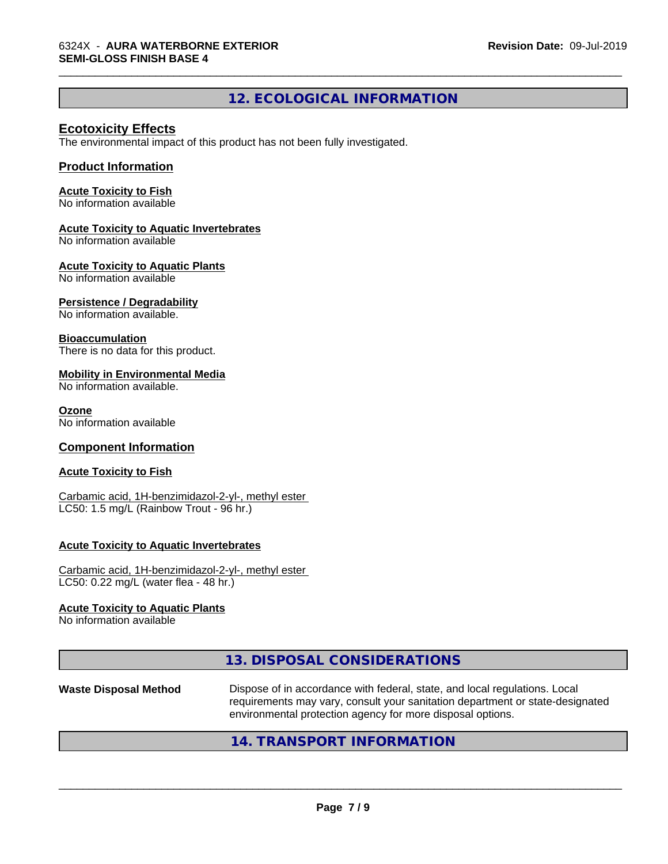# **12. ECOLOGICAL INFORMATION**

\_\_\_\_\_\_\_\_\_\_\_\_\_\_\_\_\_\_\_\_\_\_\_\_\_\_\_\_\_\_\_\_\_\_\_\_\_\_\_\_\_\_\_\_\_\_\_\_\_\_\_\_\_\_\_\_\_\_\_\_\_\_\_\_\_\_\_\_\_\_\_\_\_\_\_\_\_\_\_\_\_\_\_\_\_\_\_\_\_\_\_\_\_

# **Ecotoxicity Effects**

The environmental impact of this product has not been fully investigated.

#### **Product Information**

#### **Acute Toxicity to Fish**

No information available

#### **Acute Toxicity to Aquatic Invertebrates**

No information available

#### **Acute Toxicity to Aquatic Plants**

No information available

#### **Persistence / Degradability**

No information available.

#### **Bioaccumulation**

There is no data for this product.

#### **Mobility in Environmental Media**

No information available.

#### **Ozone**

No information available

#### **Component Information**

#### **Acute Toxicity to Fish**

Carbamic acid, 1H-benzimidazol-2-yl-, methyl ester LC50: 1.5 mg/L (Rainbow Trout - 96 hr.)

#### **Acute Toxicity to Aquatic Invertebrates**

Carbamic acid, 1H-benzimidazol-2-yl-, methyl ester LC50: 0.22 mg/L (water flea - 48 hr.)

#### **Acute Toxicity to Aquatic Plants**

No information available

| 13. DISPOSAL CONSIDERATIONS |
|-----------------------------|
|-----------------------------|

#### **Waste Disposal Method** Dispose of in accordance with federal, state, and local regulations. Local requirements may vary, consult your sanitation department or state-designated environmental protection agency for more disposal options.

# **14. TRANSPORT INFORMATION**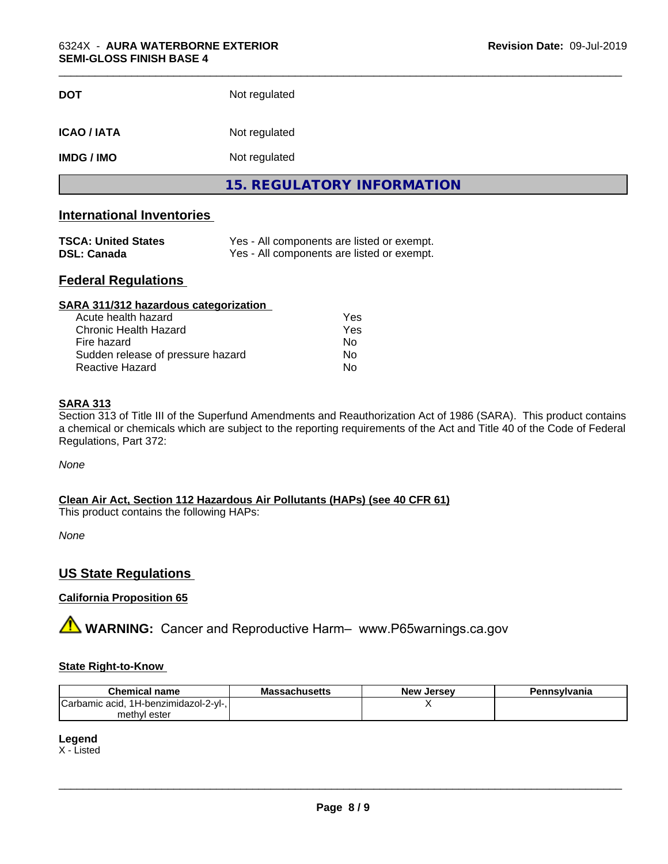| <b>DOT</b>         | Not regulated                     |
|--------------------|-----------------------------------|
| <b>ICAO / IATA</b> | Not regulated                     |
| <b>IMDG / IMO</b>  | Not regulated                     |
|                    | <b>15. REGULATORY INFORMATION</b> |

# **International Inventories**

| <b>TSCA: United States</b> | Yes - All components are listed or exempt. |
|----------------------------|--------------------------------------------|
| <b>DSL: Canada</b>         | Yes - All components are listed or exempt. |

# **Federal Regulations**

| SARA 311/312 hazardous categorization |     |  |
|---------------------------------------|-----|--|
| Acute health hazard                   | Yes |  |
| Chronic Health Hazard                 | Yes |  |
| Fire hazard                           | Nο  |  |
| Sudden release of pressure hazard     | Nο  |  |
| Reactive Hazard                       | No  |  |

#### **SARA 313**

Section 313 of Title III of the Superfund Amendments and Reauthorization Act of 1986 (SARA). This product contains a chemical or chemicals which are subject to the reporting requirements of the Act and Title 40 of the Code of Federal Regulations, Part 372:

*None*

**Clean Air Act,Section 112 Hazardous Air Pollutants (HAPs) (see 40 CFR 61)**

This product contains the following HAPs:

*None*

# **US State Regulations**

# **California Proposition 65**

**A WARNING:** Cancer and Reproductive Harm– www.P65warnings.ca.gov

# **State Right-to-Know**

| <b>Chemical name</b>                                          | <b>Massachusetts</b> | <b>New Jersey</b> | Pennsylvania |
|---------------------------------------------------------------|----------------------|-------------------|--------------|
| $\sim$<br>- 4 ப<br>:Carbamic acid.<br>I H-benzimidazol-2-vl-. |                      |                   |              |
| methyl ester                                                  |                      |                   |              |

# **Legend**

X - Listed